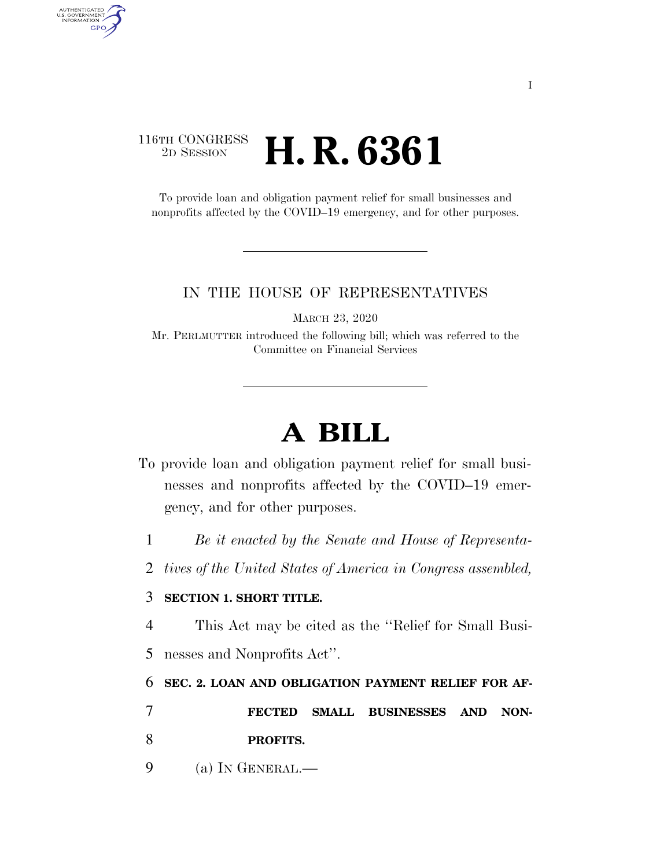## 116TH CONGRESS <sup>2D SESSION</sup> **H. R. 6361**

AUTHENTICATED<br>U.S. GOVERNMENT<br>INFORMATION

**GPO** 

To provide loan and obligation payment relief for small businesses and nonprofits affected by the COVID–19 emergency, and for other purposes.

#### IN THE HOUSE OF REPRESENTATIVES

MARCH 23, 2020

Mr. PERLMUTTER introduced the following bill; which was referred to the Committee on Financial Services

# **A BILL**

- To provide loan and obligation payment relief for small businesses and nonprofits affected by the COVID–19 emergency, and for other purposes.
	- 1 *Be it enacted by the Senate and House of Representa-*
	- 2 *tives of the United States of America in Congress assembled,*

### 3 **SECTION 1. SHORT TITLE.**

- 4 This Act may be cited as the ''Relief for Small Busi-
- 5 nesses and Nonprofits Act''.

### 6 **SEC. 2. LOAN AND OBLIGATION PAYMENT RELIEF FOR AF-**

- 7 **FECTED SMALL BUSINESSES AND NON-**8 **PROFITS.**
- 9 (a) IN GENERAL.—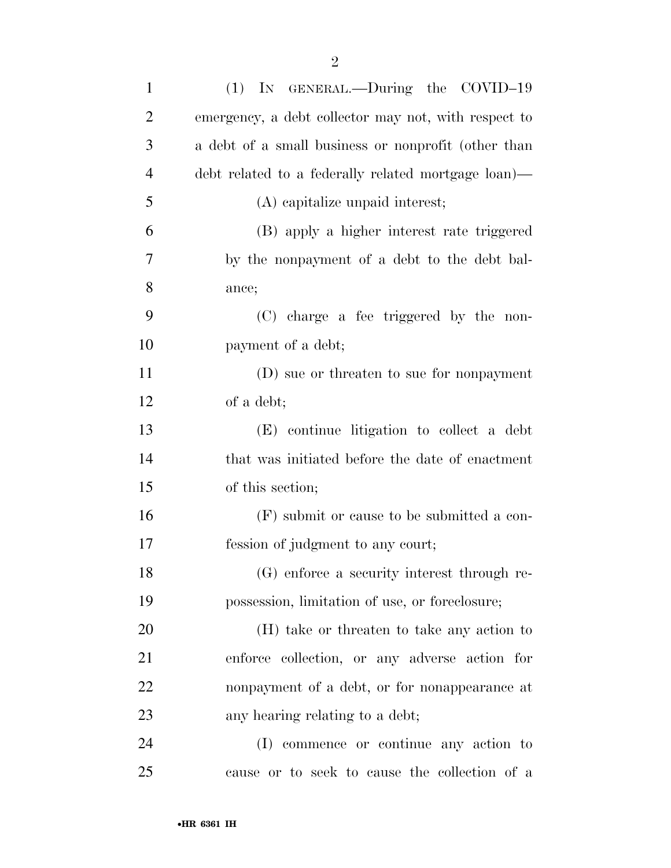| $\mathbf{1}$   | (1) IN GENERAL.—During the COVID-19                  |
|----------------|------------------------------------------------------|
| $\overline{2}$ | emergency, a debt collector may not, with respect to |
| 3              | a debt of a small business or nonprofit (other than  |
| $\overline{4}$ | debt related to a federally related mortgage loan)—  |
| 5              | (A) capitalize unpaid interest;                      |
| 6              | (B) apply a higher interest rate triggered           |
| $\overline{7}$ | by the nonpayment of a debt to the debt bal-         |
| 8              | ance;                                                |
| 9              | (C) charge a fee triggered by the non-               |
| 10             | payment of a debt;                                   |
| 11             | (D) sue or threaten to sue for nonpayment            |
| 12             | of a debt;                                           |
| 13             | (E) continue litigation to collect a debt            |
| 14             | that was initiated before the date of enactment      |
| 15             | of this section;                                     |
| 16             | (F) submit or cause to be submitted a con-           |
| 17             | fession of judgment to any court;                    |
| 18             | (G) enforce a security interest through re-          |
| 19             | possession, limitation of use, or foreclosure;       |
| 20             | (H) take or threaten to take any action to           |
| 21             | enforce collection, or any adverse action for        |
| 22             | nonpayment of a debt, or for nonappearance at        |
| 23             | any hearing relating to a debt;                      |
| 24             | (I) commence or continue any action to               |
| 25             | cause or to seek to cause the collection of a        |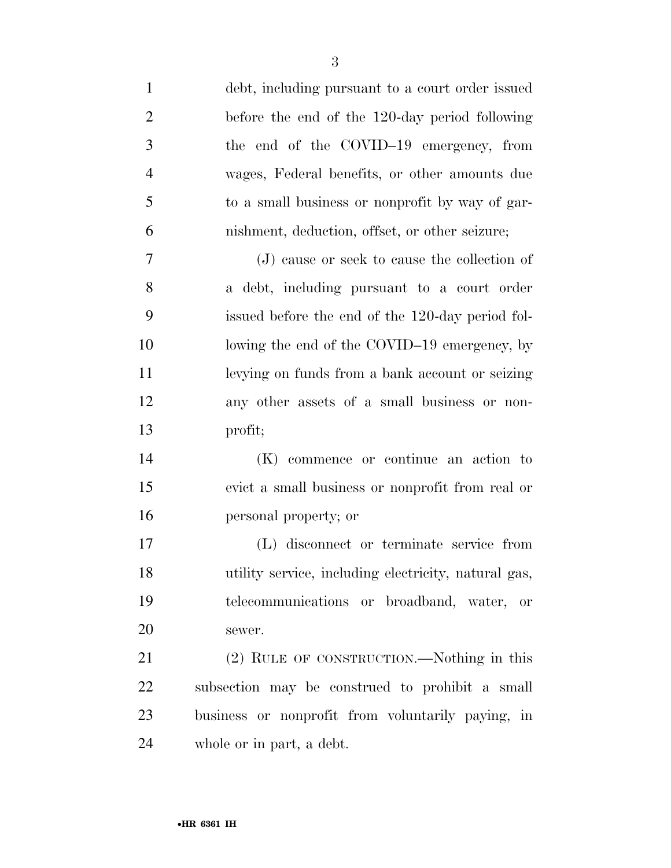| $\mathbf{1}$   | debt, including pursuant to a court order issued     |
|----------------|------------------------------------------------------|
| $\overline{2}$ | before the end of the 120-day period following       |
| 3              | the end of the COVID-19 emergency, from              |
| $\overline{4}$ | wages, Federal benefits, or other amounts due        |
| 5              | to a small business or nonprofit by way of gar-      |
| 6              | nishment, deduction, offset, or other seizure;       |
| 7              | (J) cause or seek to cause the collection of         |
| 8              | a debt, including pursuant to a court order          |
| 9              | issued before the end of the 120-day period fol-     |
| 10             | lowing the end of the COVID-19 emergency, by         |
| 11             | levying on funds from a bank account or seizing      |
| 12             | any other assets of a small business or non-         |
| 13             | profit;                                              |
| 14             | (K) commence or continue an action to                |
| 15             | evict a small business or nonprofit from real or     |
| 16             | personal property; or                                |
| 17             | (L) disconnect or terminate service from             |
| 18             | utility service, including electricity, natural gas, |
| 19             | telecommunications or broadband, water, or           |
| 20             | sewer.                                               |
| 21             | (2) RULE OF CONSTRUCTION.—Nothing in this            |
| 22             | subsection may be construed to prohibit a small      |
| 23             | business or nonprofit from voluntarily paying, in    |
| 24             | whole or in part, a debt.                            |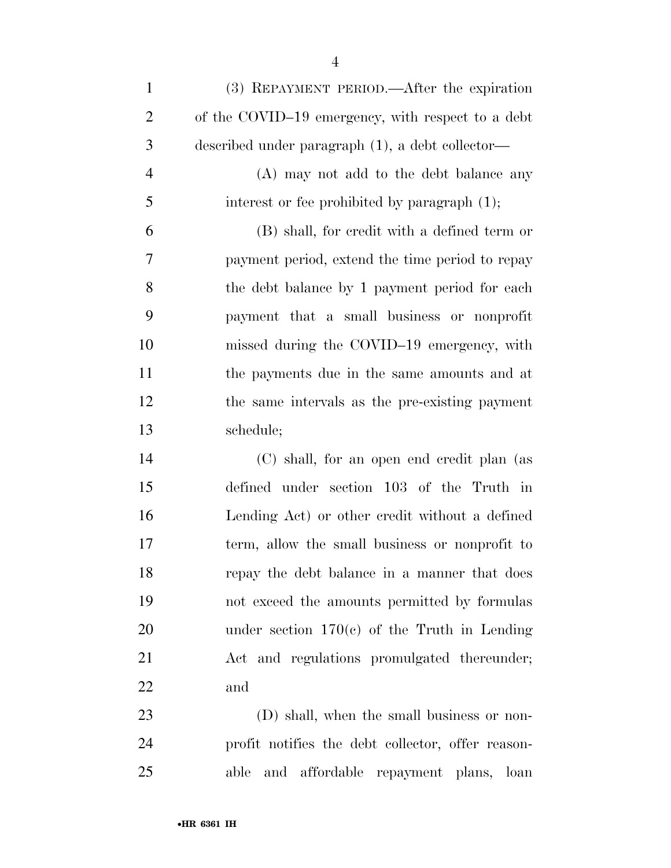| $\mathbf{1}$   | (3) REPAYMENT PERIOD.—After the expiration        |
|----------------|---------------------------------------------------|
| $\overline{2}$ | of the COVID-19 emergency, with respect to a debt |
| 3              | described under paragraph (1), a debt collector—  |
| $\overline{4}$ | (A) may not add to the debt balance any           |
| 5              | interest or fee prohibited by paragraph (1);      |
| 6              | (B) shall, for credit with a defined term or      |
| 7              | payment period, extend the time period to repay   |
| 8              | the debt balance by 1 payment period for each     |
| 9              | payment that a small business or nonprofit        |
| 10             | missed during the COVID-19 emergency, with        |
| 11             | the payments due in the same amounts and at       |
| 12             | the same intervals as the pre-existing payment    |
| 13             | schedule;                                         |
| 14             | (C) shall, for an open end credit plan (as        |
| 15             | defined under section 103 of the Truth in         |
| 16             | Lending Act) or other credit without a defined    |
| 17             | term, allow the small business or nonprofit to    |
| 18             | repay the debt balance in a manner that does      |
| 19             | not exceed the amounts permitted by formulas      |
| 20             | under section $170(c)$ of the Truth in Lending    |
| 21             | Act and regulations promulgated thereunder;       |
| 22             | and                                               |
| 23             | (D) shall, when the small business or non-        |
| 24             | profit notifies the debt collector, offer reason- |

able and affordable repayment plans, loan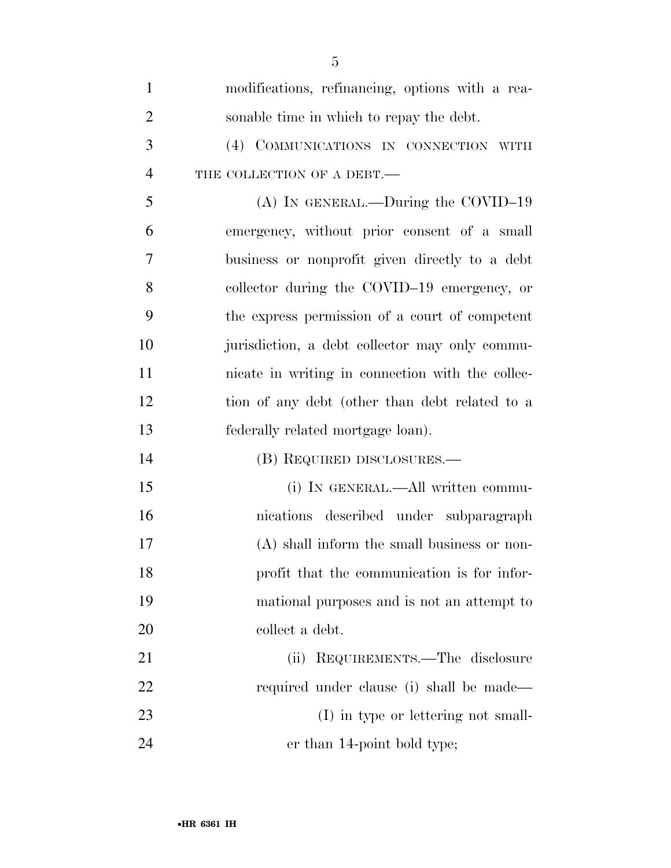| $\mathbf{1}$   | modifications, refinancing, options with a rea-  |
|----------------|--------------------------------------------------|
| $\overline{2}$ | sonable time in which to repay the debt.         |
| 3              | (4) COMMUNICATIONS IN CONNECTION WITH            |
| $\overline{4}$ | THE COLLECTION OF A DEBT.                        |
| 5              | (A) IN GENERAL.—During the COVID-19              |
| 6              | emergency, without prior consent of a small      |
| 7              | business or nonprofit given directly to a debt   |
| 8              | collector during the COVID-19 emergency, or      |
| 9              | the express permission of a court of competent   |
| 10             | jurisdiction, a debt collector may only commu-   |
| 11             | nicate in writing in connection with the collec- |
| 12             | tion of any debt (other than debt related to a   |
| 13             | federally related mortgage loan).                |
| 14             | (B) REQUIRED DISCLOSURES.—                       |
| 15             | (i) IN GENERAL.—All written commu-               |
| 16             | nications described under subparagraph           |
| 17             | (A) shall inform the small business or non-      |
| 18             | profit that the communication is for infor-      |
| 19             | mational purposes and is not an attempt to       |
| 20             | collect a debt.                                  |
| 21             | REQUIREMENTS.—The disclosure<br>(ii)             |
| 22             | required under clause (i) shall be made—         |
| 23             | (I) in type or lettering not small-              |
| 24             | er than 14-point bold type;                      |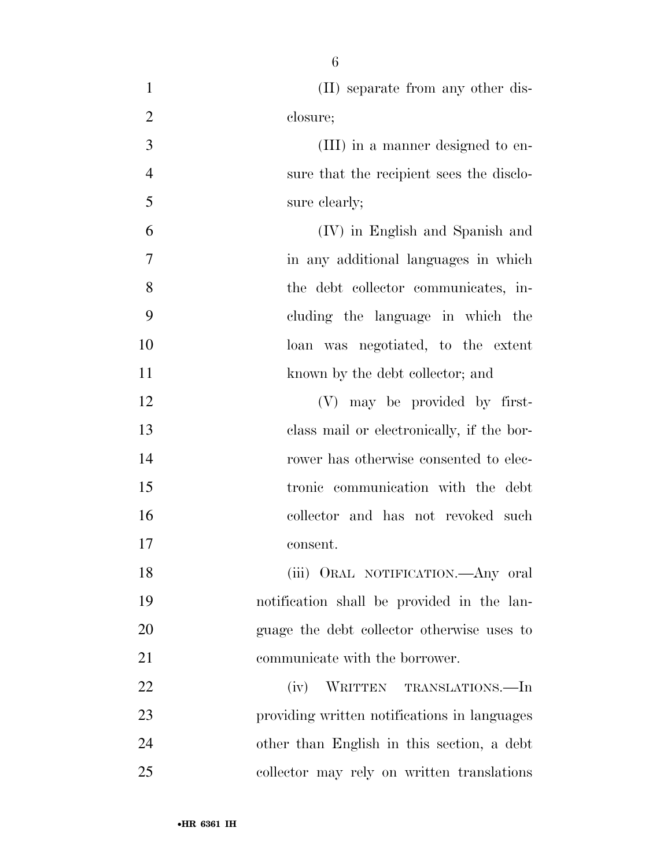| $\mathbf{1}$   | (II) separate from any other dis-            |
|----------------|----------------------------------------------|
| $\overline{2}$ | closure;                                     |
| 3              | (III) in a manner designed to en-            |
| $\overline{4}$ | sure that the recipient sees the disclo-     |
| 5              | sure clearly;                                |
| 6              | (IV) in English and Spanish and              |
| 7              | in any additional languages in which         |
| 8              | the debt collector communicates, in-         |
| 9              | cluding the language in which the            |
| 10             | loan was negotiated, to the extent           |
| 11             | known by the debt collector; and             |
| 12             | (V) may be provided by first-                |
| 13             | class mail or electronically, if the bor-    |
| 14             | rower has otherwise consented to elec-       |
| 15             | tronic communication with the debt           |
| 16             | collector and has not revoked such           |
| 17             | consent.                                     |
| 18             | (iii) ORAL NOTIFICATION. Any oral            |
| 19             | notification shall be provided in the lan-   |
| 20             | guage the debt collector otherwise uses to   |
| 21             | communicate with the borrower.               |
| 22             | (iv) WRITTEN TRANSLATIONS.—In                |
| 23             | providing written notifications in languages |
| 24             | other than English in this section, a debt   |
| 25             | collector may rely on written translations   |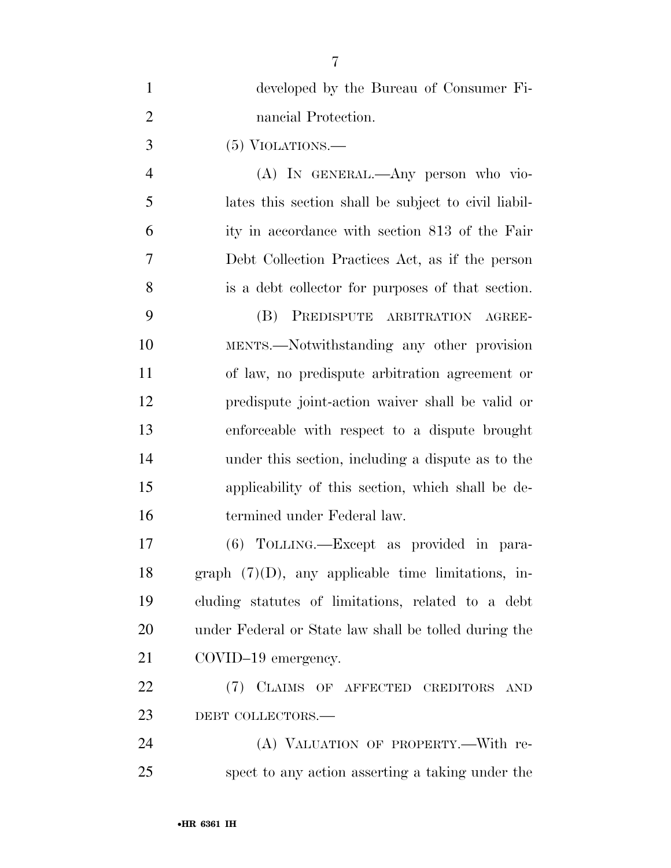| $\mathbf{1}$   | developed by the Bureau of Consumer Fi-               |
|----------------|-------------------------------------------------------|
| $\overline{2}$ | nancial Protection.                                   |
| 3              | $(5)$ VIOLATIONS.—                                    |
| $\overline{4}$ | (A) IN GENERAL.—Any person who vio-                   |
| 5              | lates this section shall be subject to civil liabil-  |
| 6              | ity in accordance with section 813 of the Fair        |
| 7              | Debt Collection Practices Act, as if the person       |
| 8              | is a debt collector for purposes of that section.     |
| 9              | (B) PREDISPUTE ARBITRATION AGREE-                     |
| 10             | MENTS.—Notwithstanding any other provision            |
| 11             | of law, no predispute arbitration agreement or        |
| 12             | predispute joint-action waiver shall be valid or      |
| 13             | enforceable with respect to a dispute brought         |
| 14             | under this section, including a dispute as to the     |
| 15             | applicability of this section, which shall be de-     |
| 16             | termined under Federal law.                           |
| 17             | (6) TOLLING.—Except as provided in para-              |
| 18             | graph $(7)(D)$ , any applicable time limitations, in- |
| 19             | cluding statutes of limitations, related to a debt    |
| 20             | under Federal or State law shall be tolled during the |
| 21             | COVID-19 emergency.                                   |
| 22             | (7) CLAIMS OF AFFECTED CREDITORS AND                  |
| 23             | DEBT COLLECTORS.-                                     |
| 24             | (A) VALUATION OF PROPERTY.—With re-                   |
| 25             | spect to any action asserting a taking under the      |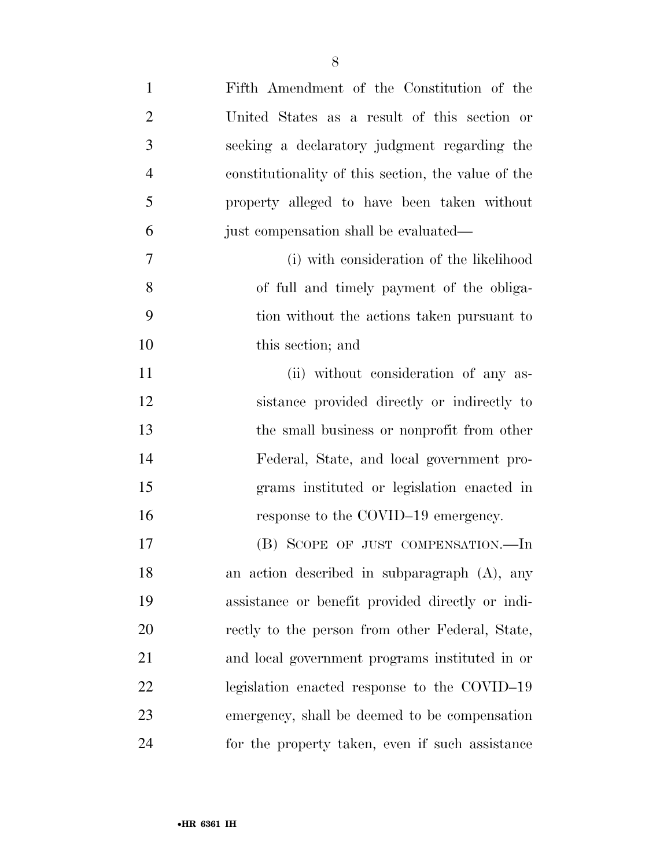| $\mathbf{1}$   | Fifth Amendment of the Constitution of the          |
|----------------|-----------------------------------------------------|
| $\overline{2}$ | United States as a result of this section or        |
| 3              | seeking a declaratory judgment regarding the        |
| $\overline{4}$ | constitutionality of this section, the value of the |
| 5              | property alleged to have been taken without         |
| 6              | just compensation shall be evaluated—               |
| 7              | (i) with consideration of the likelihood            |
| 8              | of full and timely payment of the obliga-           |
| 9              | tion without the actions taken pursuant to          |
| 10             | this section; and                                   |
| 11             | (ii) without consideration of any as-               |
| 12             | sistance provided directly or indirectly to         |
| 13             | the small business or nonprofit from other          |
| 14             | Federal, State, and local government pro-           |
| 15             | grams instituted or legislation enacted in          |
| 16             | response to the COVID-19 emergency.                 |
| 17             | (B) SCOPE OF JUST COMPENSATION.—In                  |
| 18             | an action described in subparagraph (A), any        |
| 19             | assistance or benefit provided directly or indi-    |
| 20             | rectly to the person from other Federal, State,     |
| 21             | and local government programs instituted in or      |
| 22             | legislation enacted response to the COVID-19        |
| 23             | emergency, shall be deemed to be compensation       |
| 24             | for the property taken, even if such assistance     |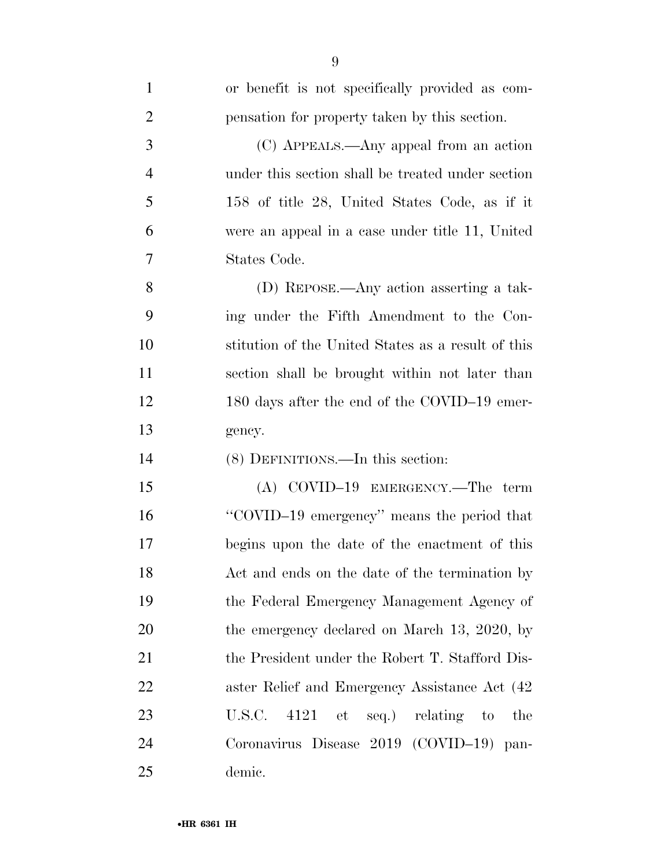| $\mathbf{1}$   | or benefit is not specifically provided as com-    |
|----------------|----------------------------------------------------|
| $\overline{2}$ | pensation for property taken by this section.      |
| 3              | (C) APPEALS.—Any appeal from an action             |
| $\overline{4}$ | under this section shall be treated under section  |
| 5              | 158 of title 28, United States Code, as if it      |
| 6              | were an appeal in a case under title 11, United    |
| 7              | States Code.                                       |
| 8              | (D) REPOSE.—Any action asserting a tak-            |
| 9              | ing under the Fifth Amendment to the Con-          |
| 10             | stitution of the United States as a result of this |
| 11             | section shall be brought within not later than     |
| 12             | 180 days after the end of the COVID-19 emer-       |
| 13             | gency.                                             |
| 14             | (8) DEFINITIONS.—In this section:                  |
| 15             | $(A)$ COVID-19 EMERGENCY.—The term                 |
| 16             | "COVID-19 emergency" means the period that         |
| 17             | begins upon the date of the enactment of this      |
| 18             | Act and ends on the date of the termination by     |
| 19             | the Federal Emergency Management Agency of         |
| 20             | the emergency declared on March 13, 2020, by       |
| 21             | the President under the Robert T. Stafford Dis-    |
| 22             | aster Relief and Emergency Assistance Act (42)     |
| 23             | 4121 et seq.) relating to<br>U.S.C.<br>the         |
| 24             | Coronavirus Disease 2019 (COVID-19) pan-           |
| 25             | demic.                                             |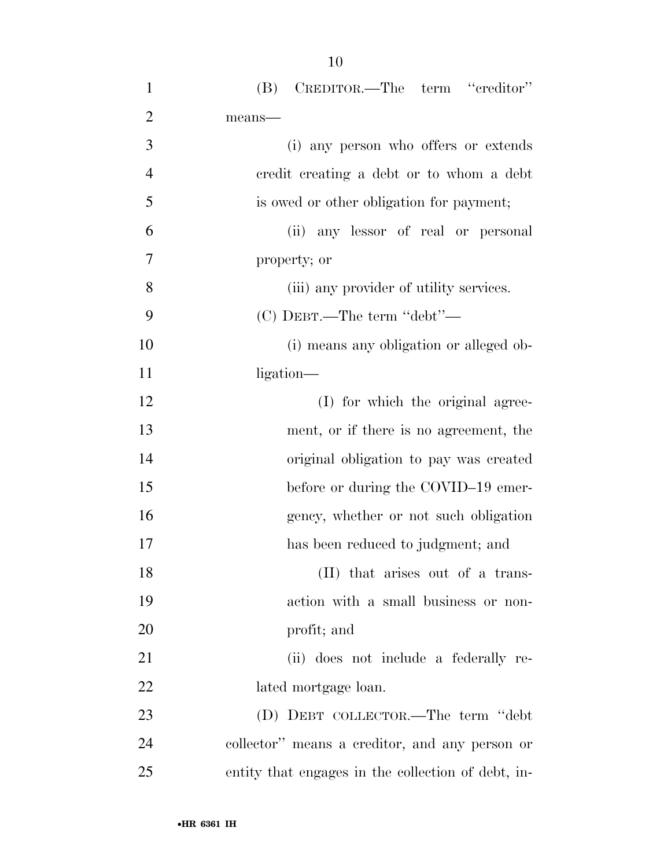| $\mathbf{1}$   | (B) CREDITOR.—The term "creditor"                  |
|----------------|----------------------------------------------------|
| $\overline{2}$ | means-                                             |
| 3              | (i) any person who offers or extends               |
| $\overline{4}$ | credit creating a debt or to whom a debt           |
| 5              | is owed or other obligation for payment;           |
| 6              | (ii) any lessor of real or personal                |
| $\overline{7}$ | property; or                                       |
| 8              | (iii) any provider of utility services.            |
| 9              | $(C)$ DEBT.—The term "debt"—                       |
| 10             | (i) means any obligation or alleged ob-            |
| 11             | ligation—                                          |
| 12             | (I) for which the original agree-                  |
| 13             | ment, or if there is no agreement, the             |
| 14             | original obligation to pay was created             |
| 15             | before or during the COVID-19 emer-                |
| 16             | gency, whether or not such obligation              |
| 17             | has been reduced to judgment; and                  |
| 18             | (II) that arises out of a trans-                   |
| 19             | action with a small business or non-               |
| 20             | profit; and                                        |
| 21             | (ii) does not include a federally re-              |
| 22             | lated mortgage loan.                               |
| 23             | (D) DEBT COLLECTOR.—The term "debt"                |
| 24             | collector" means a creditor, and any person or     |
| 25             | entity that engages in the collection of debt, in- |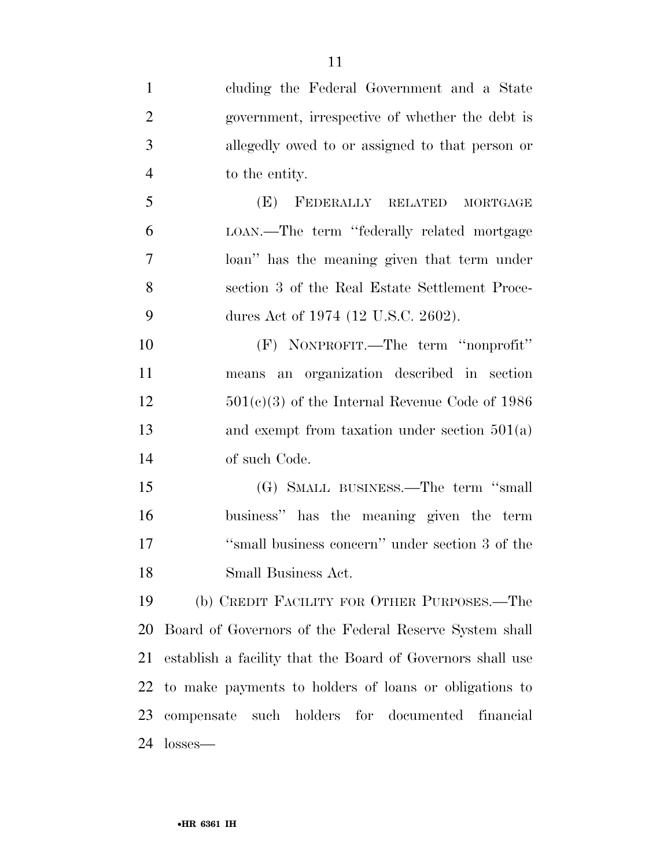| $\mathbf{1}$   | cluding the Federal Government and a State                 |
|----------------|------------------------------------------------------------|
| $\overline{2}$ | government, irrespective of whether the debt is            |
| 3              | allegedly owed to or assigned to that person or            |
| $\overline{4}$ | to the entity.                                             |
| 5              | (E) FEDERALLY RELATED<br><b>MORTGAGE</b>                   |
| 6              | LOAN.—The term "federally related mortgage                 |
| $\overline{7}$ | loan" has the meaning given that term under                |
| 8              | section 3 of the Real Estate Settlement Proce-             |
| 9              | dures Act of 1974 (12 U.S.C. 2602).                        |
| 10             | (F) NONPROFIT.—The term "nonprofit"                        |
| 11             | means an organization described in section                 |
| 12             | $501(c)(3)$ of the Internal Revenue Code of 1986           |
| 13             | and exempt from taxation under section $501(a)$            |
| 14             | of such Code.                                              |
| 15             | (G) SMALL BUSINESS.—The term "small                        |
| 16             | business" has the meaning given the term                   |
| 17             | "small business concern" under section 3 of the            |
| 18             | Small Business Act.                                        |
| 19             | (b) CREDIT FACILITY FOR OTHER PURPOSES.—The                |
| 20             | Board of Governors of the Federal Reserve System shall     |
| 21             | establish a facility that the Board of Governors shall use |
| 22             | to make payments to holders of loans or obligations to     |
|                | 23 compensate such holders for documented<br>financial     |
|                |                                                            |

losses—